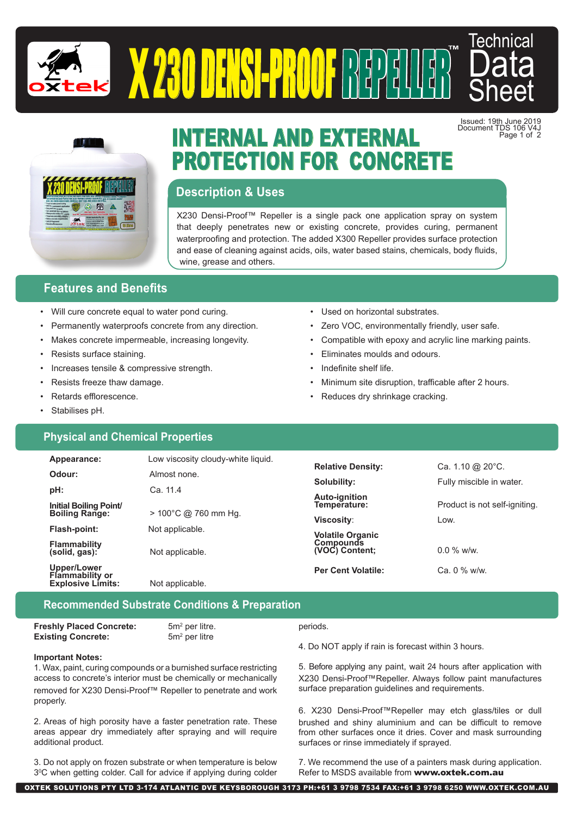



Issued: 19th June 2019 Document TDS 106 V4J

Page 1 of 2

™



# INTERNAL AND EXTERNAL PROTECTION FOR CONCRETE

## **Description & Uses**

X230 Densi-Proof™ Repeller is a single pack one application spray on system that deeply penetrates new or existing concrete, provides curing, permanent waterproofing and protection. The added X300 Repeller provides surface protection and ease of cleaning against acids, oils, water based stains, chemicals, body fluids, wine, grease and others.

 $\begin{pmatrix} 0 \ 1 \end{pmatrix}$ d $\begin{pmatrix} 1 \ 2 \end{pmatrix}$ d $\begin{pmatrix} 1 \ 3 \end{pmatrix}$ d

# **Features and Benefits**

- Will cure concrete equal to water pond curing.
- Permanently waterproofs concrete from any direction.
- Makes concrete impermeable, increasing longevity.
- Resists surface staining.
- Increases tensile & compressive strength.
- Resists freeze thaw damage.
- Retards efflorescence.
- Stabilises pH.

# **Physical and Chemical Properties**

- Used on horizontal substrates.
- Zero VOC, environmentally friendly, user safe.
- Compatible with epoxy and acrylic line marking paints.
- Eliminates moulds and odours.
- Indefinite shelf life.
- Minimum site disruption, trafficable after 2 hours.
- Reduces dry shrinkage cracking.

| Appearance:                          | Low viscosity cloudy-white liquid. |                                             |                               |
|--------------------------------------|------------------------------------|---------------------------------------------|-------------------------------|
| Odour:                               | Almost none.                       | <b>Relative Density:</b>                    | Ca. 1.10 @ $20^{\circ}$ C.    |
|                                      |                                    | Solubility:                                 | Fully miscible in water.      |
| pH:                                  | Ca. 11.4                           | Auto-ignition                               |                               |
| Initial Boiling Point/               |                                    | Temperature:                                | Product is not self-igniting. |
| <b>Boiling Range:</b>                | > 100°C @ 760 mm Hg.               | Viscosity:                                  | Low.                          |
| Flash-point:                         | Not applicable.                    |                                             |                               |
|                                      |                                    | <b>Volatile Organic</b><br><b>Compounds</b> |                               |
| <b>Flammability</b><br>(solid, gas): | Not applicable.                    | (VOC) Content;                              | $0.0\%$ w/w.                  |
| Upper/Lower                          |                                    |                                             |                               |
| <b>Flammability or</b>               |                                    | <b>Per Cent Volatile:</b>                   | Ca. 0 % w/w.                  |
| <b>Explosive Limits:</b>             | Not applicable.                    |                                             |                               |

# **Recommended Substrate Conditions & Preparation**

**Freshly Placed Concrete: Existing Concrete:** 

**Important Notes:**

additional product.

properly.

 $5m<sup>2</sup>$  per litre. 5m<sup>2</sup> per litre

periods.

4. Do NOT apply if rain is forecast within 3 hours.

1. Wax, paint, curing compounds or a burnished surface restricting access to concrete's interior must be chemically or mechanically removed for X230 Densi-Proof™ Repeller to penetrate and work 5. Before applying any paint, wait 24 hours after application with X230 Densi-Proof™Repeller. Always follow paint manufactures surface preparation guidelines and requirements.

> 6. X230 Densi-Proof™Repeller may etch glass/tiles or dull brushed and shiny aluminium and can be difficult to remove from other surfaces once it dries. Cover and mask surrounding surfaces or rinse immediately if sprayed.

3. Do not apply on frozen substrate or when temperature is below 30 C when getting colder. Call for advice if applying during colder

2. Areas of high porosity have a faster penetration rate. These areas appear dry immediately after spraying and will require

> 7. We recommend the use of a painters mask during application. Refer to MSDS available from www.oxtek.com.au